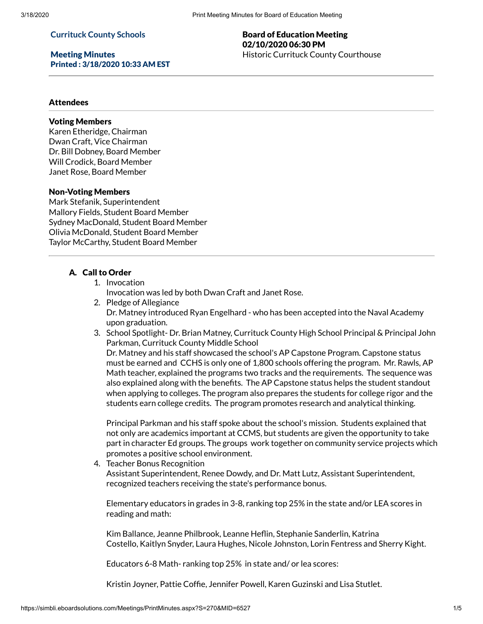#### **Currituck County Schools**

Meeting Minutes Printed : 3/18/2020 10:33 AM EST

## Board of Education Meeting 02/10/2020 06:30 PM Historic Currituck County Courthouse

## Attendees

# Voting Members

Karen Etheridge, Chairman Dwan Craft, Vice Chairman Dr. Bill Dobney, Board Member Will Crodick, Board Member Janet Rose, Board Member

#### Non-Voting Members

Mark Stefanik, Superintendent Mallory Fields, Student Board Member Sydney MacDonald, Student Board Member Olivia McDonald, Student Board Member Taylor McCarthy, Student Board Member

## A. Call to Order

1. Invocation

Invocation was led by both Dwan Craft and Janet Rose.

- 2. Pledge of Allegiance Dr. Matney introduced Ryan Engelhard - who has been accepted into the Naval Academy upon graduation.
- 3. School Spotlight- Dr. Brian Matney, Currituck County High School Principal & Principal John Parkman, Currituck County Middle School Dr. Matney and his staff showcased the school's AP Capstone Program. Capstone status

must be earned and CCHS is only one of 1,800 schools offering the program. Mr. Rawls, AP Math teacher, explained the programs two tracks and the requirements. The sequence was also explained along with the benefits. The AP Capstone status helps the student standout when applying to colleges. The program also prepares the students for college rigor and the students earn college credits. The program promotes research and analytical thinking.

Principal Parkman and his staff spoke about the school's mission. Students explained that not only are academics important at CCMS, but students are given the opportunity to take part in character Ed groups. The groups work together on community service projects which promotes a positive school environment.

4. Teacher Bonus Recognition

Assistant Superintendent, Renee Dowdy, and Dr. Matt Lutz, Assistant Superintendent, recognized teachers receiving the state's performance bonus.

Elementary educators in grades in 3-8, ranking top 25% in the state and/or LEA scores in reading and math:

Kim Ballance, Jeanne Philbrook, Leanne Heflin, Stephanie Sanderlin, Katrina Costello, Kaitlyn Snyder, Laura Hughes, Nicole Johnston, Lorin Fentress and Sherry Kight.

Educators 6-8 Math- ranking top 25% in state and/ or lea scores:

Kristin Joyner, Pattie Coffie, Jennifer Powell, Karen Guzinski and Lisa Stutlet.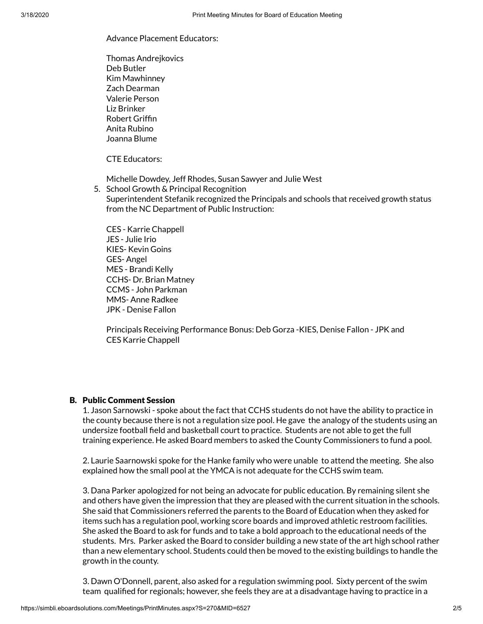#### Advance Placement Educators:

Thomas Andrejkovics Deb Butler Kim Mawhinney Zach Dearman Valerie Person Liz Brinker Robert Grifn Anita Rubino Joanna Blume

CTE Educators:

Michelle Dowdey, Jeff Rhodes, Susan Sawyer and Julie West

5. School Growth & Principal Recognition Superintendent Stefanik recognized the Principals and schools that received growth status from the NC Department of Public Instruction:

CES - Karrie Chappell JES - Julie Irio KIES- Kevin Goins GES- Angel MES - Brandi Kelly CCHS- Dr. Brian Matney CCMS - John Parkman MMS- Anne Radkee JPK - Denise Fallon

Principals Receiving Performance Bonus: Deb Gorza -KIES, Denise Fallon - JPK and CES Karrie Chappell

## B. Public Comment Session

1. Jason Sarnowski - spoke about the fact that CCHS students do not have the ability to practice in the county because there is not a regulation size pool. He gave the analogy of the students using an undersize football field and basketball court to practice. Students are not able to get the full training experience. He asked Board members to asked the County Commissioners to fund a pool.

2. Laurie Saarnowski spoke for the Hanke family who were unable to attend the meeting. She also explained how the small pool at the YMCA is not adequate for the CCHS swim team.

3. Dana Parker apologized for not being an advocate for public education. By remaining silent she and others have given the impression that they are pleased with the current situation in the schools. She said that Commissioners referred the parents to the Board of Education when they asked for items such has a regulation pool, working score boards and improved athletic restroom facilities. She asked the Board to ask for funds and to take a bold approach to the educational needs of the students. Mrs. Parker asked the Board to consider building a new state of the art high school rather than a new elementary school. Students could then be moved to the existing buildings to handle the growth in the county.

3. Dawn O'Donnell, parent, also asked for a regulation swimming pool. Sixty percent of the swim team qualified for regionals; however, she feels they are at a disadvantage having to practice in a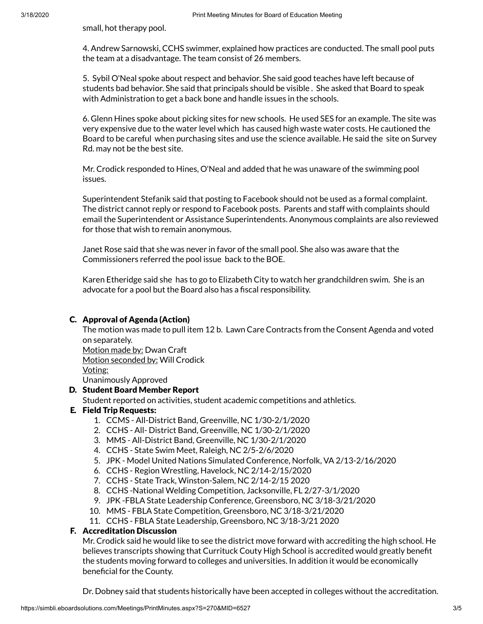small, hot therapy pool.

4. Andrew Sarnowski, CCHS swimmer, explained how practices are conducted. The small pool puts the team at a disadvantage. The team consist of 26 members.

5. Sybil O'Neal spoke about respect and behavior. She said good teaches have left because of students bad behavior. She said that principals should be visible . She asked that Board to speak with Administration to get a back bone and handle issues in the schools.

6. Glenn Hines spoke about picking sites for new schools. He used SES for an example. The site was very expensive due to the water level which has caused high waste water costs. He cautioned the Board to be careful when purchasing sites and use the science available. He said the site on Survey Rd. may not be the best site.

Mr. Crodick responded to Hines, O'Neal and added that he was unaware of the swimming pool issues.

Superintendent Stefanik said that posting to Facebook should not be used as a formal complaint. The district cannot reply or respond to Facebook posts. Parents and staff with complaints should email the Superintendent or Assistance Superintendents. Anonymous complaints are also reviewed for those that wish to remain anonymous.

Janet Rose said that she was never in favor of the small pool. She also was aware that the Commissioners referred the pool issue back to the BOE.

Karen Etheridge said she has to go to Elizabeth City to watch her grandchildren swim. She is an advocate for a pool but the Board also has a fiscal responsibility.

# C. Approval of Agenda (Action)

The motion was made to pull item 12 b. Lawn Care Contracts from the Consent Agenda and voted on separately. Motion made by: Dwan Craft

Motion seconded by: Will Crodick

Voting:

Unanimously Approved

# D. Student Board Member Report

Student reported on activities, student academic competitions and athletics.

## E. Field Trip Requests:

- 1. CCMS All-District Band, Greenville, NC 1/30-2/1/2020
- 2. CCHS All- District Band, Greenville, NC 1/30-2/1/2020
- 3. MMS All-District Band, Greenville, NC 1/30-2/1/2020
- 4. CCHS State Swim Meet, Raleigh, NC 2/5-2/6/2020
- 5. JPK Model United Nations Simulated Conference, Norfolk, VA 2/13-2/16/2020
- 6. CCHS Region Wrestling, Havelock, NC 2/14-2/15/2020
- 7. CCHS State Track, Winston-Salem, NC 2/14-2/15 2020
- 8. CCHS -National Welding Competition, Jacksonville, FL 2/27-3/1/2020
- 9. JPK -FBLA State Leadership Conference, Greensboro, NC 3/18-3/21/2020
- 10. MMS FBLA State Competition, Greensboro, NC 3/18-3/21/2020
- 11. CCHS FBLA State Leadership, Greensboro, NC 3/18-3/21 2020

## F. Accreditation Discussion

Mr. Crodick said he would like to see the district move forward with accrediting the high school. He believes transcripts showing that Currituck Couty High School is accredited would greatly benefit the students moving forward to colleges and universities. In addition it would be economically beneficial for the County.

Dr. Dobney said that students historically have been accepted in colleges without the accreditation.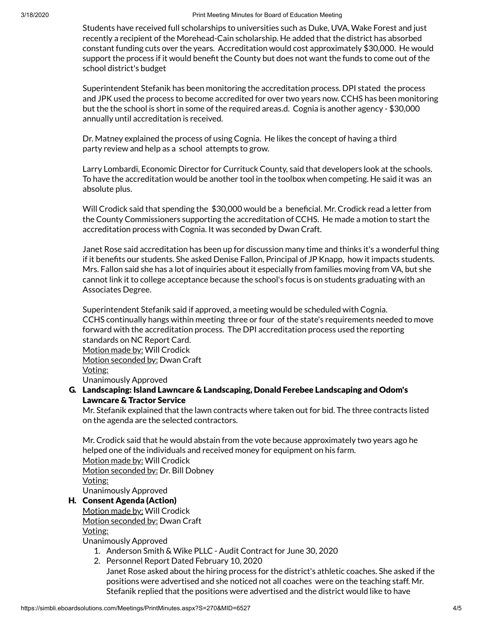Students have received full scholarships to universities such as Duke, UVA, Wake Forest and just recently a recipient of the Morehead-Cain scholarship. He added that the district has absorbed constant funding cuts over the years. Accreditation would cost approximately \$30,000. He would support the process if it would benefit the County but does not want the funds to come out of the school district's budget

Superintendent Stefanik has been monitoring the accreditation process. DPI stated the process and JPK used the process to become accredited for over two years now. CCHS has been monitoring but the the school is short in some of the required areas.d. Cognia is another agency - \$30,000 annually until accreditation is received.

Dr. Matney explained the process of using Cognia. He likes the concept of having a third party review and help as a school attempts to grow.

Larry Lombardi, Economic Director for Currituck County, said that developers look at the schools. To have the accreditation would be another tool in the toolbox when competing. He said it was an absolute plus.

Will Crodick said that spending the \$30,000 would be a beneficial. Mr. Crodick read a letter from the County Commissioners supporting the accreditation of CCHS. He made a motion to start the accreditation process with Cognia. It was seconded by Dwan Craft.

Janet Rose said accreditation has been up for discussion many time and thinks it's a wonderful thing if it benefits our students. She asked Denise Fallon, Principal of JP Knapp, how it impacts students. Mrs. Fallon said she has a lot of inquiries about it especially from families moving from VA, but she cannot link it to college acceptance because the school's focus is on students graduating with an Associates Degree.

Superintendent Stefanik said if approved, a meeting would be scheduled with Cognia. CCHS continually hangs within meeting three or four of the state's requirements needed to move forward with the accreditation process. The DPI accreditation process used the reporting standards on NC Report Card. Motion made by: Will Crodick Motion seconded by: Dwan Craft Voting: Unanimously Approved

# G. Landscaping: Island Lawncare & Landscaping, Donald Ferebee Landscaping and Odom's Lawncare & Tractor Service

Mr. Stefanik explained that the lawn contracts where taken out for bid. The three contracts listed on the agenda are the selected contractors.

Mr. Crodick said that he would abstain from the vote because approximately two years ago he helped one of the individuals and received money for equipment on his farm. Motion made by: Will Crodick Motion seconded by: Dr. Bill Dobney Voting: Unanimously Approved

# H. Consent Agenda (Action)

Motion made by: Will Crodick Motion seconded by: Dwan Craft

Voting:

Unanimously Approved

- 1. Anderson Smith & Wike PLLC Audit Contract for June 30, 2020
- 2. Personnel Report Dated February 10, 2020

Janet Rose asked about the hiring process for the district's athletic coaches. She asked if the positions were advertised and she noticed not all coaches were on the teaching staff. Mr. Stefanik replied that the positions were advertised and the district would like to have